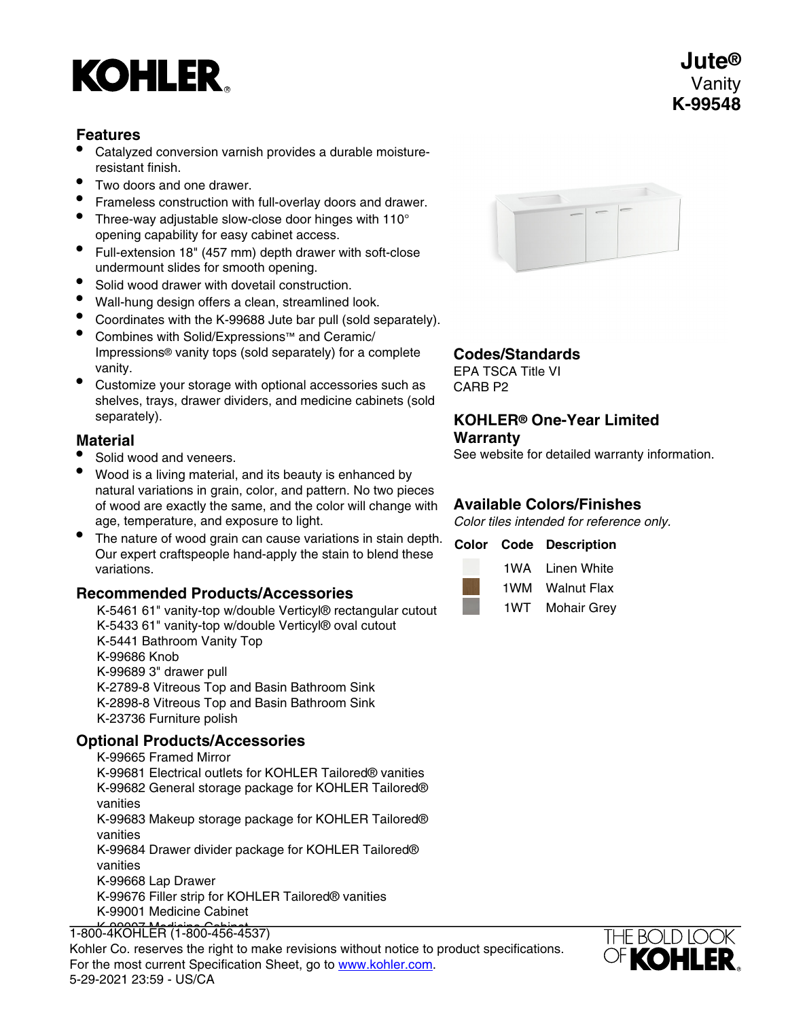# **KOHLER**

# **Features**

- Catalyzed conversion varnish provides a durable moistureresistant finish.
- Two doors and one drawer.
- Frameless construction with full-overlay doors and drawer.
- Three-way adjustable slow-close door hinges with 110° opening capability for easy cabinet access.
- Full-extension 18" (457 mm) depth drawer with soft-close undermount slides for smooth opening.
- Solid wood drawer with dovetail construction.
- Wall-hung design offers a clean, streamlined look.
- Coordinates with the K-99688 Jute bar pull (sold separately).
- Combines with Solid/Expressions™ and Ceramic/ Impressions® vanity tops (sold separately) for a complete vanity.
- Customize your storage with optional accessories such as shelves, trays, drawer dividers, and medicine cabinets (sold separately).

# **Material**

- Solid wood and veneers.
- Wood is a living material, and its beauty is enhanced by natural variations in grain, color, and pattern. No two pieces of wood are exactly the same, and the color will change with age, temperature, and exposure to light.
- The nature of wood grain can cause variations in stain depth. Our expert craftspeople hand-apply the stain to blend these variations.

# **Recommended Products/Accessories**

K-5461 61" vanity-top w/double Verticyl® rectangular cutout K-5433 61" vanity-top w/double Verticyl® oval cutout K-5441 Bathroom Vanity Top K-99686 Knob K-99689 3" drawer pull K-2789-8 Vitreous Top and Basin Bathroom Sink K-2898-8 Vitreous Top and Basin Bathroom Sink K-23736 Furniture polish

# **Optional Products/Accessories**

K-99665 Framed Mirror K-99681 Electrical outlets for KOHLER Tailored® vanities K-99682 General storage package for KOHLER Tailored® vanities K-99683 Makeup storage package for KOHLER Tailored® vanities K-99684 Drawer divider package for KOHLER Tailored® vanities K-99668 Lap Drawer K-99676 Filler strip for KOHLER Tailored® vanities K-99001 Medicine Cabinet

# K-99007 Medicine Cabinet 1-800-4KOHLER (1-800-456-4537)

Resert Medicine Medicine Cabinet Cabinet Correspondence to product specifications. For the most current Specification Sheet, go to [www.kohler.com](http://www.kohler.com). 5-29-2021 23:59 - US/CA



#### **Codes/Standards**

EPA TSCA Title VI CARB P2

#### **KOHLER® One-Year Limited Warranty**

See website for detailed warranty information.

# **Available Colors/Finishes**

Color tiles intended for reference only.

# **Color Code Description** 1WA Linen White 1WM Walnut Flax

1WT Mohair Grey